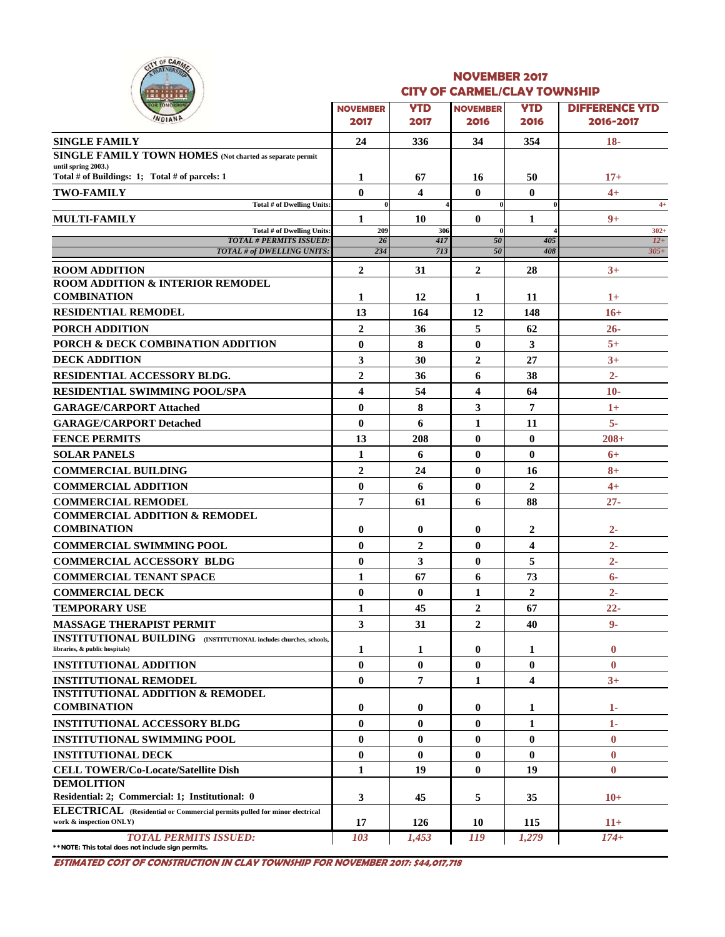

#### **NOVEMBER 2017 CITY OF CARMEL/CLAY TOWNSHIP**

| .<br><b>OR TOMORROY</b>                                                                                    |                          |                    | <b>SAINBER SEA I</b>         |                |                                    |
|------------------------------------------------------------------------------------------------------------|--------------------------|--------------------|------------------------------|----------------|------------------------------------|
| WOIANP                                                                                                     | <b>NOVEMBER</b><br>2017  | <b>YTD</b><br>2017 | <b>NOVEMBER</b><br>2016      | YTD<br>2016    | <b>DIFFERENCE YTD</b><br>2016-2017 |
| <b>SINGLE FAMILY</b>                                                                                       | 24                       | 336                | 34                           | 354            | $18-$                              |
| <b>SINGLE FAMILY TOWN HOMES</b> (Not charted as separate permit                                            |                          |                    |                              |                |                                    |
| until spring 2003.)<br>Total # of Buildings: 1; Total # of parcels: 1                                      | 1                        | 67                 | 16                           | 50             | $17+$                              |
|                                                                                                            |                          |                    |                              |                |                                    |
| <b>TWO-FAMILY</b><br><b>Total # of Dwelling Units:</b>                                                     | $\mathbf{0}$<br>$\bf{0}$ | 4                  | $\mathbf{0}$<br>$\mathbf{0}$ | $\mathbf{0}$   | $4+$<br>$4+$                       |
| <b>MULTI-FAMILY</b>                                                                                        | 1                        | 10                 | $\mathbf{0}$                 | 1              | $9+$                               |
| <b>Total # of Dwelling Units:</b>                                                                          | 209                      | 306                | $\mathbf{0}$                 |                | $302 +$                            |
| <b>TOTAL # PERMITS ISSUED:</b><br>TOTAL # of DWELLING UNITS:                                               | 26<br>234                | 417<br>713         | 50<br>50                     | 405<br>408     | $12+$<br>$305+$                    |
|                                                                                                            |                          |                    |                              |                |                                    |
| <b>ROOM ADDITION</b><br><b>ROOM ADDITION &amp; INTERIOR REMODEL</b>                                        | $\overline{2}$           | 31                 | $\overline{2}$               | 28             | $3+$                               |
| <b>COMBINATION</b>                                                                                         | 1                        | 12                 | 1                            | 11             | $1+$                               |
| <b>RESIDENTIAL REMODEL</b>                                                                                 | 13                       | 164                | 12                           | 148            | $16+$                              |
|                                                                                                            | $\overline{2}$           |                    | 5                            |                |                                    |
| PORCH ADDITION                                                                                             |                          | 36                 |                              | 62             | $26 -$<br>$5+$                     |
| PORCH & DECK COMBINATION ADDITION                                                                          | $\bf{0}$                 | 8                  | $\bf{0}$                     | 3              |                                    |
| <b>DECK ADDITION</b>                                                                                       | 3                        | 30                 | $\overline{2}$               | 27             | $3+$                               |
| RESIDENTIAL ACCESSORY BLDG.                                                                                | $\overline{2}$           | 36                 | 6                            | 38             | $2 -$                              |
| <b>RESIDENTIAL SWIMMING POOL/SPA</b>                                                                       | $\overline{\mathbf{4}}$  | 54                 | 4                            | 64             | $10-$                              |
| <b>GARAGE/CARPORT Attached</b>                                                                             | $\bf{0}$                 | 8                  | 3                            | 7              | $1+$                               |
| <b>GARAGE/CARPORT Detached</b>                                                                             | $\bf{0}$                 | 6                  | 1                            | 11             | $5-$                               |
| <b>FENCE PERMITS</b>                                                                                       | 13                       | 208                | $\bf{0}$                     | $\bf{0}$       | $208+$                             |
| <b>SOLAR PANELS</b>                                                                                        | $\mathbf{1}$             | 6                  | $\bf{0}$                     | $\bf{0}$       | $6+$                               |
| <b>COMMERCIAL BUILDING</b>                                                                                 | $\overline{2}$           | 24                 | $\bf{0}$                     | 16             | $8+$                               |
| <b>COMMERCIAL ADDITION</b>                                                                                 | $\bf{0}$                 | 6                  | $\bf{0}$                     | $\overline{2}$ | $4+$                               |
| <b>COMMERCIAL REMODEL</b>                                                                                  | 7                        | 61                 | 6                            | 88             | $27 -$                             |
| <b>COMMERCIAL ADDITION &amp; REMODEL</b>                                                                   |                          |                    |                              |                |                                    |
| <b>COMBINATION</b>                                                                                         | $\bf{0}$                 | $\bf{0}$           | 0                            | 2              | $2 -$                              |
| <b>COMMERCIAL SWIMMING POOL</b>                                                                            | $\bf{0}$                 | $\overline{2}$     | $\bf{0}$                     | 4              | $2 -$                              |
| <b>COMMERCIAL ACCESSORY BLDG</b>                                                                           | $\bf{0}$                 | 3                  | $\bf{0}$                     | 5              | $2 -$                              |
| <b>COMMERCIAL TENANT SPACE</b>                                                                             | $\mathbf{1}$             | 67                 | 6                            | 73             | $6-$                               |
| <b>COMMERCIAL DECK</b>                                                                                     | $\bf{0}$                 | $\mathbf{0}$       | 1                            | $\overline{2}$ | $2 -$                              |
| <b>TEMPORARY USE</b>                                                                                       | 1                        | 45                 | $\overline{2}$               | 67             | $22 -$                             |
| <b>MASSAGE THERAPIST PERMIT</b>                                                                            | 3                        | 31                 | $\boldsymbol{2}$             | 40             | $9-$                               |
| <b>INSTITUTIONAL BUILDING</b> (INSTITUTIONAL includes churches, schools,<br>libraries, & public hospitals) | 1                        | 1                  | $\bf{0}$                     | 1              | $\bf{0}$                           |
| <b>INSTITUTIONAL ADDITION</b>                                                                              | $\bf{0}$                 | $\bf{0}$           | $\bf{0}$                     | $\bf{0}$       | $\bf{0}$                           |
| <b>INSTITUTIONAL REMODEL</b>                                                                               | $\bf{0}$                 | 7                  | 1                            | 4              | $3+$                               |
| <b>INSTITUTIONAL ADDITION &amp; REMODEL</b>                                                                |                          |                    |                              |                |                                    |
| <b>COMBINATION</b>                                                                                         | $\bf{0}$                 | $\bf{0}$           | $\bf{0}$                     | 1              | 1-                                 |
| <b>INSTITUTIONAL ACCESSORY BLDG</b>                                                                        | $\bf{0}$                 | $\bf{0}$           | $\bf{0}$                     | 1              | $1-$                               |
| <b>INSTITUTIONAL SWIMMING POOL</b>                                                                         | $\bf{0}$                 | $\bf{0}$           | $\bf{0}$                     | $\bf{0}$       | $\bf{0}$                           |
| <b>INSTITUTIONAL DECK</b>                                                                                  | $\bf{0}$                 | $\bf{0}$           | $\bf{0}$                     | $\bf{0}$       | $\bf{0}$                           |
| <b>CELL TOWER/Co-Locate/Satellite Dish</b>                                                                 | $\mathbf{1}$             | 19                 | $\bf{0}$                     | 19             | $\bf{0}$                           |
| <b>DEMOLITION</b>                                                                                          |                          |                    |                              |                |                                    |
| Residential: 2; Commercial: 1; Institutional: 0                                                            | 3                        | 45                 | 5                            | 35             | $10+$                              |
| ELECTRICAL (Residential or Commercial permits pulled for minor electrical<br>work & inspection ONLY)       | 17                       | 126                | 10                           | 115            | $11+$                              |
| <b>TOTAL PERMITS ISSUED:</b>                                                                               | 103                      | 1,453              | 119                          | 1,279          | $174+$                             |
| ** NOTE: This total does not include sign permits.                                                         |                          |                    |                              |                |                                    |

**ESTIMATED COST OF CONSTRUCTION IN CLAY TOWNSHIP FOR NOVEMBER 2017: \$44,017,718**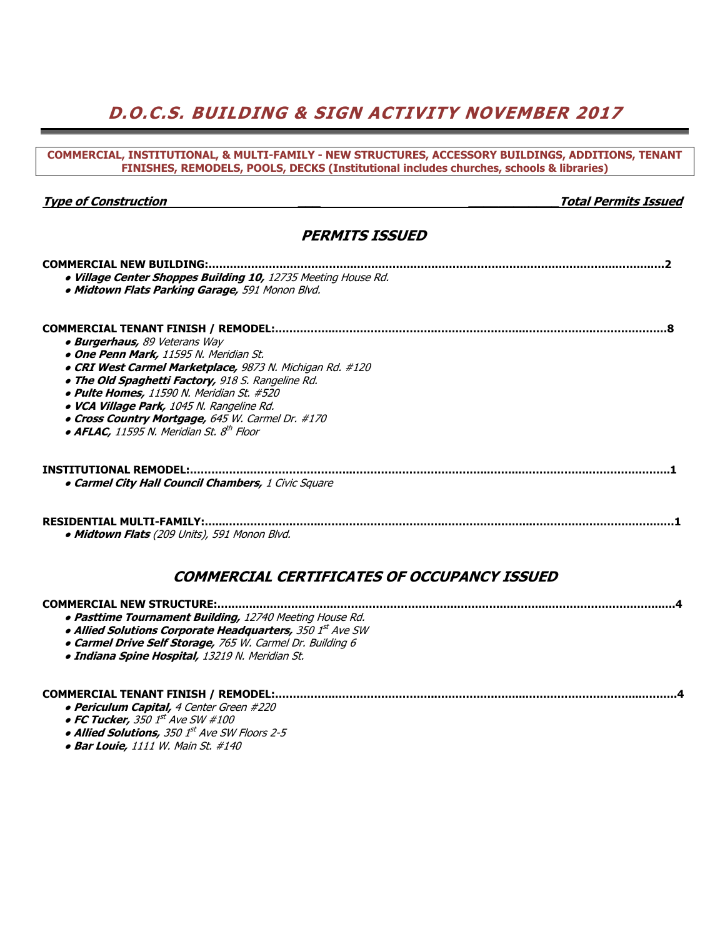# **D.O.C.S. BUILDING & SIGN ACTIVITY NOVEMBER 2017**

#### **COMMERCIAL, INSTITUTIONAL, & MULTI-FAMILY - NEW STRUCTURES, ACCESSORY BUILDINGS, ADDITIONS, TENANT FINISHES, REMODELS, POOLS, DECKS (Institutional includes churches, schools & libraries)**

### **Type of Construction \_\_\_ \_\_\_\_\_\_\_\_\_\_\_\_Total Permits Issued**

## **PERMITS ISSUED**

| <b>COMMERCIAL NEW BUILDING:</b>                               |
|---------------------------------------------------------------|
| . Village Center Shoppes Building 10, 12735 Meeting House Rd. |
| . Midtown Flats Parking Garage, 591 Monon Blvd.               |
|                                                               |
| COMMERCIAL TENANT FINISH / REMODEL:                           |
| • Burgerhaus, 89 Veterans Way                                 |
| • One Penn Mark, 11595 N. Meridian St.                        |
| • CRI West Carmel Marketplace, 9873 N. Michigan Rd. #120      |
| . The Old Spaghetti Factory, 918 S. Rangeline Rd.             |
| • Pulte Homes, 11590 N. Meridian St. #520                     |
| · VCA Village Park, 1045 N. Rangeline Rd.                     |
| • Cross Country Mortgage, 645 W. Carmel Dr. #170              |
| $\bullet$ AFLAC, 11595 N. Meridian St. $8^{th}$ Floor         |
|                                                               |
| <b>INSTITUTIONAL REMODEL:.</b>                                |
| <b>. Carmel City Hall Council Chambers, 1 Civic Square</b>    |
| <b>RESIDENTIAL MULTI-FAMILY:</b>                              |
| • Midtown Flats (209 Units), 591 Monon Blvd.                  |
| COMMERCIAL CERTIFICATES OF OCCUPANCY ISSUED                   |

| • Pasttime Tournament Building, 12740 Meeting House Rd.   |
|-----------------------------------------------------------|
| • Allied Solutions Corporate Headquarters, 350 1st Ave SW |
| • Carmel Drive Self Storage, 765 W. Carmel Dr. Building 6 |
| · Indiana Spine Hospital, 13219 N. Meridian St.           |

### **COMMERCIAL TENANT FINISH / REMODEL:……………..………………………..…………….……...…………………………...……….4**

- **Periculum Capital,** 4 Center Green #220
- **FC Tucker,** 350 1st Ave SW #100
- **Allied Solutions,** 350 1st Ave SW Floors 2-5
- **Bar Louie,** 1111 W. Main St. #140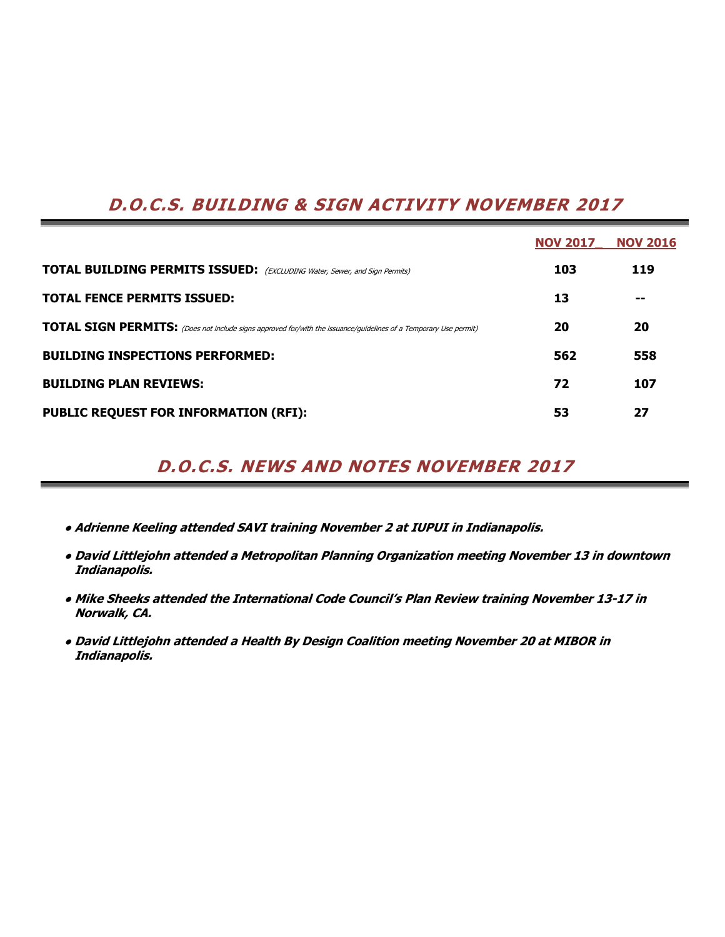# **D.O.C.S. BUILDING & SIGN ACTIVITY NOVEMBER 2017**

|                                                                                                                         | <b>NOV 2017</b> | <b>NOV 2016</b> |
|-------------------------------------------------------------------------------------------------------------------------|-----------------|-----------------|
| <b>TOTAL BUILDING PERMITS ISSUED:</b> (EXCLUDING Water, Sewer, and Sign Permits)                                        | 103             | 119             |
| <b>TOTAL FENCE PERMITS ISSUED:</b>                                                                                      | 13              | --              |
| <b>TOTAL SIGN PERMITS:</b> (Does not include signs approved for/with the issuance/guidelines of a Temporary Use permit) | 20              | 20              |
| <b>BUILDING INSPECTIONS PERFORMED:</b>                                                                                  | 562             | 558             |
| <b>BUILDING PLAN REVIEWS:</b>                                                                                           | 72              | 107             |
| <b>PUBLIC REQUEST FOR INFORMATION (RFI):</b>                                                                            | 53              | 27              |

# **D.O.C.S. NEWS AND NOTES NOVEMBER 2017**

- **● Adrienne Keeling attended SAVI training November 2 at IUPUI in Indianapolis.**
- **● David Littlejohn attended a Metropolitan Planning Organization meeting November 13 in downtown Indianapolis.**
- **● Mike Sheeks attended the International Code Council's Plan Review training November 13-17 in Norwalk, CA.**
- **● David Littlejohn attended a Health By Design Coalition meeting November 20 at MIBOR in Indianapolis.**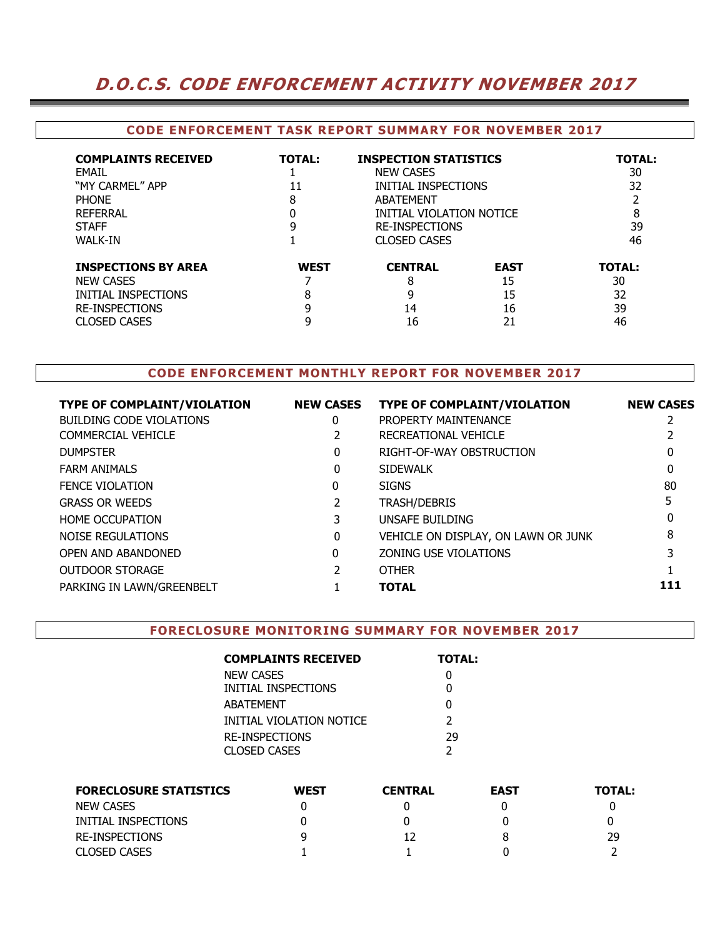# **D.O.C.S. CODE ENFORCEMENT ACTIVITY NOVEMBER 2017**

### **CODE ENFORCEMENT TASK REPORT SUMMARY FOR NOVEMBER 2017**

| <b>COMPLAINTS RECEIVED</b><br>FMAIL<br>"MY CARMEL" APP<br><b>PHONF</b><br><b>REFERRAL</b><br><b>STAFF</b><br><b>WALK-IN</b> | <b>TOTAL:</b><br>11<br>8<br>9 | <b>NEW CASES</b><br>ABATEMENT<br><b>RE-INSPECTIONS</b><br><b>CLOSED CASES</b> | <b>INSPECTION STATISTICS</b><br>INITIAL INSPECTIONS<br>INITIAL VIOLATION NOTICE |                                       |  |  |  |
|-----------------------------------------------------------------------------------------------------------------------------|-------------------------------|-------------------------------------------------------------------------------|---------------------------------------------------------------------------------|---------------------------------------|--|--|--|
| <b>INSPECTIONS BY AREA</b><br><b>NEW CASES</b><br>INITIAL INSPECTIONS<br><b>RE-INSPECTIONS</b><br><b>CLOSED CASES</b>       | <b>WEST</b><br>8<br>9         | <b>CENTRAL</b><br>8<br>9<br>14<br>16                                          | <b>EAST</b><br>15<br>15<br>16<br>21                                             | <b>TOTAL:</b><br>30<br>32<br>39<br>46 |  |  |  |

### **CODE ENFORCEMENT MONTHLY REPORT FOR NOVEMBER 2017**

| <b>TYPE OF COMPLAINT/VIOLATION</b> | <b>NEW CASES</b> | <b>TYPE OF COMPLAINT/VIOLATION</b>  | <b>NEW CASES</b> |
|------------------------------------|------------------|-------------------------------------|------------------|
| <b>BUILDING CODE VIOLATIONS</b>    | 0                | PROPERTY MAINTENANCE                |                  |
| COMMERCIAL VEHICLE                 |                  | RECREATIONAL VEHICLE                |                  |
| <b>DUMPSTER</b>                    | 0                | RIGHT-OF-WAY OBSTRUCTION            | 0                |
| <b>FARM ANIMALS</b>                | 0                | <b>SIDEWALK</b>                     |                  |
| <b>FENCE VIOLATION</b>             | 0                | <b>SIGNS</b>                        | 80               |
| <b>GRASS OR WEEDS</b>              |                  | <b>TRASH/DEBRIS</b>                 |                  |
| <b>HOME OCCUPATION</b>             |                  | UNSAFE BUILDING                     |                  |
| <b>NOISE REGULATIONS</b>           | 0                | VEHICLE ON DISPLAY, ON LAWN OR JUNK | 8                |
| OPEN AND ABANDONED                 | 0                | ZONING USE VIOLATIONS               |                  |
| <b>OUTDOOR STORAGE</b>             |                  | <b>OTHER</b>                        |                  |
| PARKING IN LAWN/GREENBELT          |                  | <b>TOTAL</b>                        | 111              |
|                                    |                  |                                     |                  |

#### **FORECLOSURE MONITORING SUMMARY FOR NOVEMBER 2017**

| <b>COMPLAINTS RECEIVED</b> | <b>TOTAL:</b> |
|----------------------------|---------------|
| NEW CASES                  |               |
| INITIAL INSPECTIONS        |               |
| ABATEMENT                  | O             |
| INITIAL VIOLATION NOTICE   | $\mathcal{P}$ |
| <b>RE-INSPECTIONS</b>      | 29            |
| CLOSED CASES               | フ             |

| <b>FORECLOSURE STATISTICS</b> | <b>WEST</b> | <b>CENTRAL</b> | <b>EAST</b> | <b>TOTAL:</b> |
|-------------------------------|-------------|----------------|-------------|---------------|
| <b>NEW CASES</b>              |             |                |             |               |
| INITIAL INSPECTIONS           |             |                |             |               |
| RE-INSPECTIONS                | q           |                |             | 29            |
| <b>CLOSED CASES</b>           |             |                |             |               |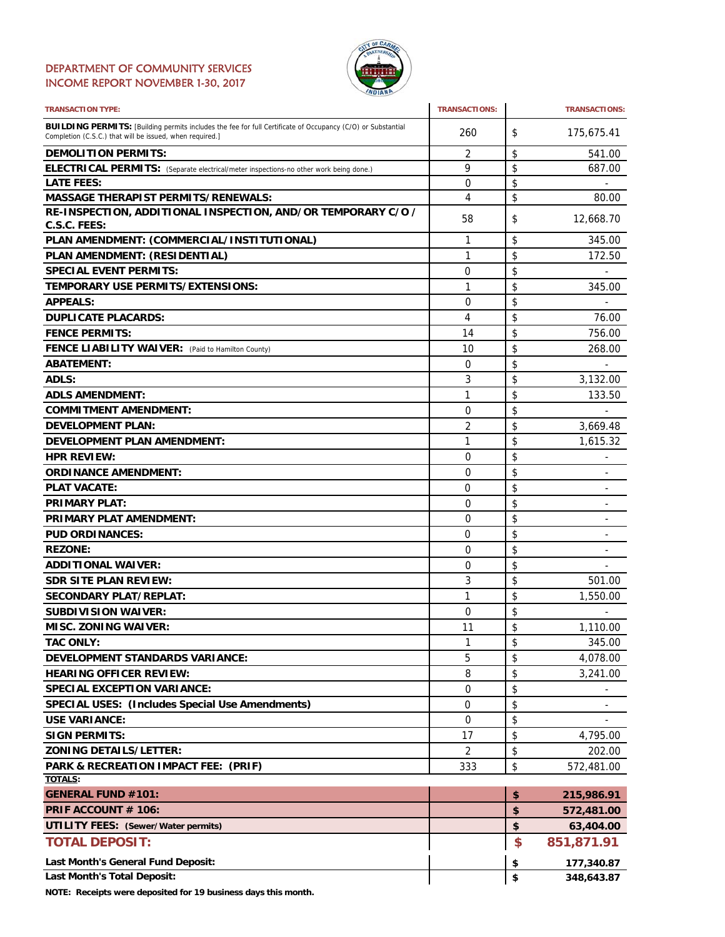### DEPARTMENT OF COMMUNITY SERVICES INCOME REPORT NOVEMBER 1-30, 2017



| <b>TRANSACTION TYPE:</b>                                                                                                                                                       | <b>TRANSACTIONS:</b> | <b>TRANSACTIONS:</b>               |
|--------------------------------------------------------------------------------------------------------------------------------------------------------------------------------|----------------------|------------------------------------|
| <b>BUILDING PERMITS:</b> [Building permits includes the fee for full Certificate of Occupancy (C/O) or Substantial<br>Completion (C.S.C.) that will be issued, when required.] | 260                  | \$<br>175,675.41                   |
| <b>DEMOLITION PERMITS:</b>                                                                                                                                                     | 2                    | \$<br>541.00                       |
| ELECTRICAL PERMITS: (Separate electrical/meter inspections-no other work being done.)                                                                                          | 9                    | \$<br>687.00                       |
| <b>LATE FEES:</b>                                                                                                                                                              | $\Omega$             | \$                                 |
| <b>MASSAGE THERAPIST PERMITS/RENEWALS:</b>                                                                                                                                     | 4                    | \$<br>80.00                        |
| RE-INSPECTION, ADDITIONAL INSPECTION, AND/OR TEMPORARY C/O /                                                                                                                   | 58                   | \$<br>12,668.70                    |
| C.S.C. FEES:                                                                                                                                                                   |                      |                                    |
| PLAN AMENDMENT: (COMMERCIAL/INSTITUTIONAL)                                                                                                                                     | 1                    | \$<br>345.00                       |
| PLAN AMENDMENT: (RESIDENTIAL)                                                                                                                                                  | 1                    | \$<br>172.50                       |
| <b>SPECIAL EVENT PERMITS:</b>                                                                                                                                                  | 0                    | \$                                 |
| <b>TEMPORARY USE PERMITS/EXTENSIONS:</b>                                                                                                                                       | 1                    | \$<br>345.00                       |
| <b>APPEALS:</b>                                                                                                                                                                | 0                    | \$                                 |
| <b>DUPLICATE PLACARDS:</b>                                                                                                                                                     | 4                    | \$<br>76.00                        |
| <b>FENCE PERMITS:</b>                                                                                                                                                          | 14                   | \$<br>756.00                       |
| <b>FENCE LIABILITY WAIVER:</b> (Paid to Hamilton County)                                                                                                                       | 10                   | \$<br>268.00                       |
| <b>ABATEMENT:</b>                                                                                                                                                              | 0                    | \$                                 |
| ADLS:                                                                                                                                                                          | 3                    | \$<br>3,132.00                     |
| <b>ADLS AMENDMENT:</b>                                                                                                                                                         | 1                    | \$<br>133.50                       |
| <b>COMMITMENT AMENDMENT:</b>                                                                                                                                                   | 0                    | \$                                 |
| <b>DEVELOPMENT PLAN:</b>                                                                                                                                                       | $\overline{2}$       | \$<br>3,669.48                     |
| <b>DEVELOPMENT PLAN AMENDMENT:</b>                                                                                                                                             | 1                    | \$<br>1,615.32                     |
| <b>HPR REVIEW:</b>                                                                                                                                                             | 0                    | \$<br>$\overline{\phantom{a}}$     |
| <b>ORDINANCE AMENDMENT:</b>                                                                                                                                                    | 0                    | \$<br>٠                            |
| <b>PLAT VACATE:</b>                                                                                                                                                            | 0                    | \$<br>$\overline{\phantom{0}}$     |
| <b>PRIMARY PLAT:</b>                                                                                                                                                           | 0                    | \$                                 |
| <b>PRIMARY PLAT AMENDMENT:</b>                                                                                                                                                 | 0                    | \$                                 |
| <b>PUD ORDINANCES:</b>                                                                                                                                                         | 0                    | \$                                 |
| <b>REZONE:</b>                                                                                                                                                                 | 0                    | \$                                 |
| <b>ADDITIONAL WAIVER:</b>                                                                                                                                                      | 0                    | \$<br>$\qquad \qquad \blacksquare$ |
| <b>SDR SITE PLAN REVIEW:</b>                                                                                                                                                   | 3                    | \$<br>501.00                       |
| <b>SECONDARY PLAT/REPLAT:</b>                                                                                                                                                  | 1                    | \$<br>1,550.00                     |
| <b>SUBDIVISION WAIVER:</b>                                                                                                                                                     | 0                    | \$                                 |
| <b>MISC. ZONING WAIVER:</b>                                                                                                                                                    | 11                   | \$<br>1,110.00                     |
| <b>TAC ONLY:</b>                                                                                                                                                               | 1                    | \$<br>345.00                       |
| <b>DEVELOPMENT STANDARDS VARIANCE:</b>                                                                                                                                         | 5                    | \$<br>4,078.00                     |
| <b>HEARING OFFICER REVIEW:</b>                                                                                                                                                 | 8                    | \$<br>3,241.00                     |
| <b>SPECIAL EXCEPTION VARIANCE:</b>                                                                                                                                             | 0                    | \$                                 |
|                                                                                                                                                                                | 0                    |                                    |
| <b>SPECIAL USES: (Includes Special Use Amendments)</b>                                                                                                                         |                      | \$                                 |
| <b>USE VARIANCE:</b><br><b>SIGN PERMITS:</b>                                                                                                                                   | 0                    | \$                                 |
|                                                                                                                                                                                | 17                   | \$<br>4,795.00                     |
| <b>ZONING DETAILS/LETTER:</b>                                                                                                                                                  | 2                    | \$<br>202.00                       |
| PARK & RECREATION IMPACT FEE: (PRIF)<br><b>TOTALS:</b>                                                                                                                         | 333                  | \$<br>572,481.00                   |
| <b>GENERAL FUND #101:</b>                                                                                                                                                      |                      | \$<br>215,986.91                   |
| PRIF ACCOUNT # 106:                                                                                                                                                            |                      | \$<br>572,481.00                   |
| <b>UTILITY FEES:</b> (Sewer/Water permits)                                                                                                                                     |                      | \$                                 |
|                                                                                                                                                                                |                      | 63,404.00                          |
| <b>TOTAL DEPOSIT:</b>                                                                                                                                                          |                      | \$<br>851,871.91                   |
| Last Month's General Fund Deposit:                                                                                                                                             |                      | \$<br>177,340.87                   |
| Last Month's Total Deposit:                                                                                                                                                    |                      | \$<br>348,643.87                   |

**NOTE: Receipts were deposited for 19 business days this month.**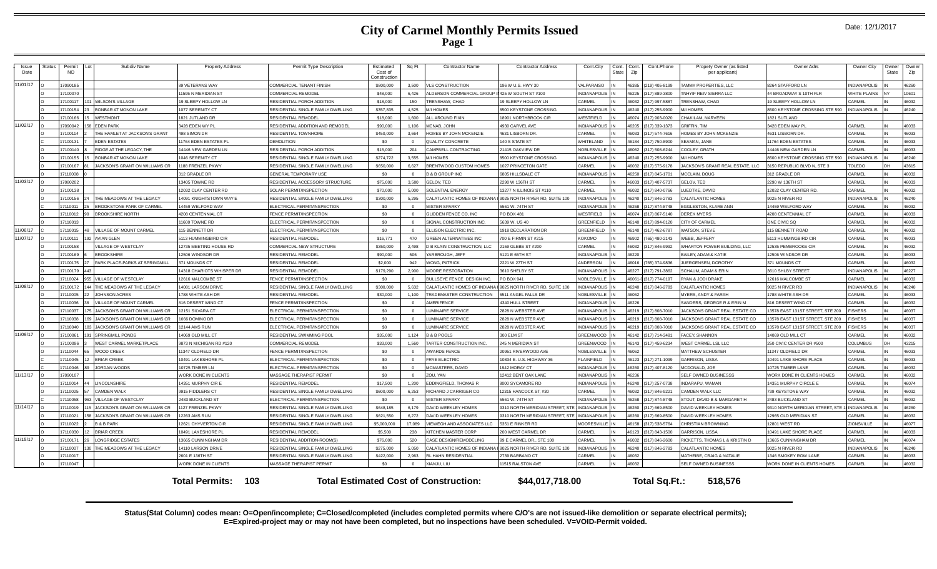### **City of Carmel Monthly Permits Issued Page 1**

| Issue<br>Date | Status | Permit<br><b>NO</b> | Subdiv Name                           | <b>Property Address</b>      | Permit Type Description             | Estimated<br>Cost of<br>Constructior | Sq Ft    | <b>Contractor Name</b>                          | <b>Contractor Address</b>        | Cont.City               | Cont.<br>State | Cont.<br>Zip | Cont.Phone             | Propety Owner (as listed<br>per applicant) | Owner Adrs                               | Owner City          | Owner<br>State | Owner<br>Zip |
|---------------|--------|---------------------|---------------------------------------|------------------------------|-------------------------------------|--------------------------------------|----------|-------------------------------------------------|----------------------------------|-------------------------|----------------|--------------|------------------------|--------------------------------------------|------------------------------------------|---------------------|----------------|--------------|
| 11/01/17      |        | 7090185             |                                       | <b>39 VETERANS WAY</b>       | COMMERCIAL TENANT FINISH            | \$800,000                            | 3,500    | <b>VLS CONSTRUCTION</b>                         | 196 W U.S. HWY 30                | VALPARAISO              |                | 46385        | (219) 405-8199         | TAMMY PROPERTIES, LLC                      | 8264 STAFFORD LN                         | <b>INDIANAPOLIS</b> |                | 08264        |
|               |        | 17100070            |                                       | 1595 N MERIDIAN ST           | OMMERCIAL REMODEL                   | \$48,000                             | 6,426    | LDERSON COMMERCIAL GROUP II 425 W SOUTH ST #100 |                                  | <b>INDIANAPOLIS</b>     |                | 46225        | (317) 889-3800         | TNHYIF REIV SIERRA LLC                     | 44 BROADWAY S 10TH FLR                   | <b>WHITE PLAINS</b> |                | 10601        |
|               |        | 7100117             | <b>WILSON'S VILLAGE</b>               | 9 SLEEPY HOLLOW LN           | RESIDENTIAL PORCH ADDITION          | \$18,000                             | 150      | <b>TRENSHAW, CHAD</b>                           | 9 SLEEPY HOLLOW LN               | CARMEL                  |                |              | 46032 (317) 997-5887   | TRENSHAW, CHAD                             | 19 SLEEPY HOLLOW LN                      | CARMEL              |                | 46032        |
|               |        | 7100154             | <b>BONBAR AT MONON LAKE</b>           | 077 SERENITY CT              | RESIDENTIAL SINGLE FAMILY DWELLING  | \$357,835                            | 4,525    | M/I HOMES                                       | <b>3500 KEYSTONE CROSSING</b>    | <b>NDIANAPOLIS</b>      |                |              | 46240 (317) 255-9900   | <b>M/I HOMES</b>                           | 8500 KEYSTONE CROSSING STE 590           | <b>INDIANAPOLIS</b> |                | 46240        |
|               |        | 7100166             | <b>WESTMONT</b>                       | 821 JUTLAND DR               | RESIDENTIAL REMODEI                 | \$18,000                             | 1.600    | LL AROUND FIXIN                                 | 8901 NORTHBROOK CIR              | <b>NESTFIELD</b>        |                |              | 46074 (317) 903-0020   | CHAKILAM, NARVEEN                          | 1821 SUTLAND                             |                     |                |              |
| 11/02/17      |        | 7090042             | <b>EDEN PARK</b>                      | 428 EDEN WY PL               | RESIDENTIAL ADDITION AND REMODEL    | \$90,000                             | 1.106    | ICNAB, JOHN                                     | 1930 CARVEL AVE                  | NDIANAPOLIS             |                | 16205        | (317) 339-1373         | <b>GRIFFIN, TIM</b>                        | 3428 EDEN WAY PL                         | CARMEL              |                | 46033        |
|               |        | 7100114             | THE HAMLET AT JACKSON'S GRANT         | <b>498 SIMON DR</b>          | RESIDENTIAL TOWNHOME                | \$450,000                            | 3,664    | HOMES BY JOHN MCKENZIE                          | 4631 LISBORN DR                  | CARMEL                  |                | 46033        | (317) 574-7616         | HOMES BY JOHN MCKENZIE                     | 4631 LISBORN DR                          | CARMEL              |                | 46033        |
|               |        | 7100131             | <b>EDEN ESTATES</b>                   | 1764 EDEN ESTATES PI         | DEMOLITION                          | \$0                                  |          | QUALITY CONCRETE                                | 40 S STATE ST                    | <b><i>NHITELAND</i></b> |                | 46184        | (317) 750-8900         | <b>SEAMAN, JANE</b>                        | 11764 EDEN ESTATES                       | CARMEL              |                | 46033        |
|               |        | 7100140             | RIDGE AT THE LEGACY, THE              | 4446 NEW GARDEN LN           | RESIDENTIAL PORCH ADDITION          | \$15,000                             | 204      | CAMPBELL CONTRACTING                            | 21415 OAKVIEW DR                 | NOBLESVILLE             |                |              | 46062 (317) 508-6244   | COOLEY, GRATH                              | 14446 NEW GARDEN LN                      | CARMEL              |                | 46033        |
|               |        | 7100155             | <b>BONBAR AT MONON LAKE</b>           | 046 SERENITY CT              | RESIDENTIAL SINGLE FAMILY DWELLING  | \$274,722                            | 3.555    | M/I HOMES                                       | <b>8500 KEYSTONE CROSSING</b>    | NDIANAPOLIS             |                |              | 46240 (317) 255-9900   | M/LHOMES                                   | 8500 KEYSTONE CROSSING STE 590           | <b>INDIANAPOLIS</b> |                | 46240        |
|               |        | 7100167             | <b>IACKSON'S GRANT ON WILLIAMS CR</b> | 188 FRENZEL PKWY             | RESIDENTIAL SINGLE FAMILY DWELLING  | \$650,000                            | 6.627    | <b>BRENTWOOD CUSTOM HOMES</b>                   | 1027 PRINCETON GATE              | CARMEL                  |                | 6032         | (317) 575-9178         | JACKSON'S GRANT REAL ESTATE, LLC           | 3150 REPUBLIC BLVD N, STE 3              | <b>TOLEDO</b>       |                | 43615        |
|               |        | 17110008            |                                       | <b>312 GRADLE DF</b>         | <b>GENERAL TEMPORARY USI</b>        | \$0                                  |          | <b>B &amp; B GROUP INC</b>                      | 6805 HILLSDALE CT                | <b>INDIANAPOLIS</b>     |                | 46250        | (317) 845-1701         | MCCLAIN, DOUG                              | 312 GRADLE DR                            | CARMEL              |                | 46032        |
| 11/03/17      |        | 7080202             |                                       | 3405 TOWNE RD                | RESIDENTIAL ACCESSORY STRUCTURE     | \$75,000                             | 3.500    | GELOV. TED                                      | 2290 W 136TH ST                  | CARMEL                  |                | 46033        | (317) 407-5737         | <b>GELOV. TED</b>                          | 2290 W 136TH ST                          | CARMEL              |                | 46033        |
|               |        | 7100138             |                                       | 2032 CLAY CENTER RD          | <b>SOLAR PERMIT/INSPECTION</b>      | \$70,000                             | 5,000    | SOLENTIAL ENERGY                                | 3277 N ILLINOIS ST #110          | CARMEL                  |                | 46032        | (317) 840-0766         | <b>UEDTKE, DAVID</b>                       | 12032 CLAY CENTER RD.                    | CARMEL              |                | 46032        |
|               |        | 7100156             | THE MEADOWS AT THE LEGACY             | 4091 KNIGHTSTOWN WAY F       | RESIDENTIAL SINGLE FAMILY DWELLING  | \$300,000                            | 5,295    | ALATLANTIC HOMES OF INDIANA                     | I 9025 NORTH RIVER RD, SUITE 100 | <b>INDIANAPOLIS</b>     |                |              | 46240 (317) 846-2783   | <b>CALATLANTIC HOMES</b>                   | 9025 N RIVER RD                          | <b>INDIANAPOLIS</b> |                | 46240        |
|               |        | 7110011             | <b>BROOKSTONE PARK OF CARMEL</b>      | 4459 WELFORD WAY             | LECTRICAL PERMIT/INSPECTION         | \$0                                  |          | <b>ISTER SPARKY</b>                             | 5561 W. 74TH ST                  | NDIANAPOLIS             |                | 6268         | (317) 874-8748         | EGGLESTON, KLARE ANN                       | 14459 WELFORD WAY                        | CARMEL              |                | 46032        |
|               |        | 7110012             | <b>BROOKSHIRE NORTH</b>               | <b>208 CENTENNIAL CT</b>     | <b>ENCE PERMIT/INSPECTION</b>       | \$0                                  |          | LIDDEN FENCE CO. INC                            | <b>PO BOX 481</b>                | WESTFIELD               |                | 16074        | (317) 867-5140         | <b>DEREK MYERS</b>                         | 4208 CENTENNIAL CT                       | CARMEI              |                | 46033        |
|               |        | 17110013            |                                       | 1600 TOWNE RD                | <b>ELECTRICAL PERMIT/INSPECTION</b> | \$0                                  |          | IGNAL CONSTRUCTION INC.                         | 5639 W. US 40                    | <b>GREENFIELD</b>       |                |              | 46140 (317) 894-0120   | CITY OF CARMEI                             | ONE CIVIC SQ                             | CARMEI              |                | 46032        |
| 11/06/17      |        | 7110015             | VILLAGE OF MOUNT CARMEL               | 15 BENNETT DR                | LECTRICAL PERMIT/INSPECTION         | \$0                                  | $\Omega$ | LLISON ELECTRIC INC                             | 918 DECLARATION DR               | <b>GREENFIELD</b>       |                |              | 46140 (317) 462-6787   | WATSON, STEVE                              | 115 BENNETT ROAD                         | CARMEL              |                | 46032        |
| 11/07/17      |        | 7100111             | AVIAN GI FN                           | 113 HUMMINGBIRD CIR          | RESIDENTIAL REMODEL                 | \$16,771                             | 470      | GREEN ALTERNATIVES INC                          | 700 E FIRMIN ST #215             | KOKOMO                  |                |              | 46902 (765) 480-2143   | WEBB, JEFFERY                              | 5113 HUMMINGBIRD CIR                     | CARMEL              |                | 46033        |
|               |        | 7100158             | VILLAGE OF WESTCLAY                   | 2735 MEETING HOUSE RD        | <b>COMMERCIAL NEW STRUCTURE</b>     | \$350,000                            | 2.498    | <b>B KLAIN CONSTRUCTION, LLC</b>                | 2159 GLEBE ST #200               | CARMEL                  |                |              | 16032 (317) 846-9992   | WHARTON POWER BUILDING, LLC                | 12535 PEMBROOKE CIF                      | CARMEL              |                | <b>CENAL</b> |
|               |        | 7100169             | <b>RROOKSHIRE</b>                     | 2506 WINDSOR DR              | <b>ESIDENTIAL REMODEI</b>           | \$90,000                             | 506      | <b>ARBROUGH, JEFF</b>                           | 5121 E 65TH ST                   | NDIANAPOLIS             |                | 16220        |                        | BAILEY, ADAM & KATIE                       | 12506 WINDSOR DR                         | CARMEI              |                | EE033        |
|               |        | 7100175             | PARK PLACE-PARKS AT SPRINGMILI        | 71 MOUNDS CT                 | RESIDENTIAL REMODEI                 | \$2,000                              | 942      | <b>/ONG, PATRICK</b>                            | 2221 W 27TH ST                   | <b>INDERSON</b>         |                |              | 16016 (765) 374-9836   | JUERGENSEN, DOROTHY                        | 371 MOUNDS CT                            | CARMEL              |                | 16032        |
|               |        | 17100179            |                                       | 4318 CHARIOTS WHISPER DR     | <b>RESIDENTIAL REMODEI</b>          | \$179,290                            | 2.900    | <b>MOORE RESTORATION</b>                        | 3610 SHELBY ST.                  | <b>INDIANAPOLIS</b>     |                | 46227        | (317) 791-3862         | <b>SCHAUM, ADAM &amp; ERIN</b>             | 3610 SHLBY STREET                        | <b>INDIANAPOLIS</b> |                | 46227        |
|               |        | 7110024             | VILLAGE OF WESTCLAY                   | 2616 MALCOMBE ST             | ENCE PERMIT/INSPECTION              | \$0                                  |          | <b>ULLSEYE FENCE DESIGN INC</b>                 | PO BOX 941                       | NOBLESVILLE             |                |              | 16061-0 (317) 774-0197 | RYAN & JODI DRAKE                          | 12616 MALCOMBE ST                        | CARMEL              |                | 46032        |
| 11/08/17      |        | 7100172             | THE MEADOWS AT THE LEGACY             | 4081 LARSON DRIVE            | RESIDENTIAL SINGLE FAMILY DWELLING  | \$300,000                            | 5.632    | CALATI ANTIC HOMES OF INDIANA                   | 9025 NORTH RIVER RD, SUITE 100   | <b>INDIANAPOLIS</b>     |                |              | 46240 (317) 846-2783   | CALATI ANTIC HOMES                         | 9025 N RIVER RD                          | <b>INDIANAPOLIS</b> |                | 46240        |
|               |        | 7110005             | <b>JOHNSON ACRES</b>                  | 788 WHITE ASH DR             | RESIDENTIAL REMODEL                 | \$30,000                             | 1.100    | RADEMASTER CONSTRUCTION                         | 6511 ANGEL FALLS DR              | <b>VOBLESVILLE</b>      |                | \$6062       |                        | MYERS, ANDY & FARAH                        | 1788 WHITE ASH DR                        | CARMEL              |                | 46033        |
|               |        | 7110036             | <b>/ILLAGE OF MOUNT CARME</b>         | 16 DESERT WIND CT            | <b>ENCE PERMIT/INSPECTION</b>       | \$0                                  |          | <b>MERIFENCE</b>                                | <b>1340 HULL STREET</b>          | NDIANAPOLIS             |                | 6226         |                        | SANDERS, GEORGE R & ERIN M                 | 316 DESERT WIND CT                       | CARME               |                | 46032        |
|               |        | 17110037            | JACKSON'S GRANT ON WILLIAMS CR        | 2151 SILVARA CT              | <b>I ECTRICAL PERMIT/INSPECTION</b> | \$0                                  |          | <b>UMINAIRE SERVICE</b>                         | 2828 N WEBSTER AVE               | <b>INDIANAPOLIS</b>     |                |              | 46219 (317) 808-7010   | JACKSONS GRANT REAL ESTATE CO              | 13578 EAST 131ST STREET, STE 200         | <b>FISHERS</b>      |                | 46037        |
|               |        | 7110038             | JACKSON'S GRANT ON WILLIAMS CR        | 066 DOMINO DR                | <b>ELECTRICAL PERMIT/INSPECTION</b> | \$0                                  |          | <b>UMINAIRE SERVICE</b>                         | 2828 N WEBSTER AVE               | <b>INDIANAPOLIS</b>     |                |              | 46219 (317) 808-7010   | JACKSONS GRANT REAL ESTATE CO              | 13578 EAST 131ST STREET, STE 200         | <b>FISHERS</b>      |                | 46037        |
|               |        | 7110040             | JACKSON'S GRANT ON WILLIAMS CR        | 2144 AMS RUN                 | LECTRICAL PERMIT/INSPECTION         | \$0                                  |          | UMINAIRE SERVICE                                | 2828 N WEBSTER AVE               | <b>INDIANAPOLIS</b>     |                |              | 46219 (317) 808-7010   | JACKSONS GRANT REAL ESTATE CO              | 13578 EAST 131ST STREET, STE 200         | <b>FISHERS</b>      |                | 46037        |
| 11/09/17      |        | 7100061             | SPRINGMILL PONDS                      | 4069 OLD MILL CT             | RESIDENTIAL SWIMMING POOL           | \$35,000                             | 1.124    | <b>B &amp; B POOLS</b>                          | 300 ELM ST                       | <b>GREENWOOD</b>        |                |              | 46142 (317) 714-3481   | <b>FACEY, SHANNON</b>                      | 14069 OLD MILL CT                        | CARMEL              |                | 46032        |
|               |        | 7100096             | WEST CARMEL MARKETPLACE               | 9873 N MICHIGAN RD #120      | OMMERCIAL REMODEL                   | \$33,000                             | 1.560    | <b>TARTER CONSTRUCTION INC.</b>                 | 245 N MERIDIAN ST                | <b>GREENWOOD</b>        |                |              | 46143 (317) 459-6234   | WEST CARMEL LSL LLC                        | 250 CIVIC CENTER DR #500                 | COLUMBUS            | nн             | 43215        |
|               |        | 17110044            | WOOD CREEK                            | 1347 OLDFIELD DR             | ENCE PERMIT/INSPECTION              | \$0                                  |          | <b>WARDS FENCE</b>                              | 20951 RIVERWOOD AVE              | NOBLESVILLE             |                | 3062         |                        | MATTHEW SCHUSTEF                           | 11347 OLDFIELD DR                        | CARMEL              |                | 46033        |
|               |        | 17110045            | <b>BRIAR CREEK</b>                    | 0491 LAKESHORE PL            | <b>ELECTRICAL PERMIT/INSPECTION</b> | \$0                                  |          | <b>FRYE ELECTRIC</b>                            | 10834 E. U.S. HIGHWAY 36         | PLAINFIELD              |                |              | 46123 (317) 271-1099   | <b>GARRISON, LISSA</b>                     | 10491 LAKE SHORE PLACE                   | CARMEL              |                | 46033        |
|               |        | 7110046             | JORDAN WOODS                          | 0725 TIMBER LN               | LECTRICAL PERMIT/INSPECTION         | \$0                                  |          | MCMASTERS, DAVID                                | 1942 MORAY CT                    | NDIANAPOLIS             |                |              | 46260 (317) 407-8120   | MCDONALD, JOE                              | 10725 TIMBER LANE                        | CARMEL              |                | 46032        |
| 11/13/17      |        | 7090107             |                                       | <b>VORK DONE IN CLIENTS</b>  | MASSAGE THERAPIST PERMIT            | \$0                                  |          | ZOU. YAN                                        | 2412 BENT OAK LANE               | <b>INDIANAPOLIS</b>     |                | 46236        |                        | SELF OWNED BUSINESSS                       | WORK DONE IN CLIENTS HOMES               | CARMEL              |                | 46032        |
|               |        | 7110014             | LINCOLNSHIRE                          | 4351 MURPHY CIR E            | <b>RESIDENTIAL REMODEL</b>          | \$17,500                             | 1,200    | <b>DDINGFIELD, THOMAS R</b>                     | 3000 SYCAMORE RD                 | NDIANAPOLIS             |                |              | 46240 (317) 257-0738   | <b>INDARAPU, WAMAN</b>                     | 14351 MURPHY CIRCLE E                    | CARMEL              |                | 46074        |
|               |        | 7110025             | <b>CAMDEN WALK</b>                    | 9915 FIDDLERS CT             | RESIDENTIAL SINGLE FAMILY DWELLING  | \$600,000                            | 6.253    | <b>ICHARD J CARRIGER CO</b>                     | 2315 HANCOCK ST, #30             | CARMEL                  |                | 46032        | (317) 846-9221         | CAMDEN WALK LLC                            | 739 KEYSTONE WAY                         | CARMEL              |                | 46032        |
|               |        | 7110058             | VILLAGE OF WESTCLAY                   | 2483 BUCKLAND ST             | ELECTRICAL PERMIT/INSPECTION        | \$0                                  |          | <b>MISTER SPARKY</b>                            | 5561 W. 74TH ST                  | NDIANAPOLIS             |                | 46268        | (317) 874-8748         | STOUT, DAVID B & MARGARET H                | 2483 BUCKLAND ST                         | CARMEL              |                | 46032        |
| 11/14/17      |        | 17110019            | <b>ACKSON'S GRANT ON WILLIAMS CR</b>  | 127 FRENZEL PKWY             | RESIDENTIAL SINGLE FAMILY DWELLING  | \$648,185                            | 6.179    | AVID WEEKLEY HOMES                              | 3310 NORTH MERIDIAN STREET. STE  | <b>INDIANAPOLIS</b>     |                | 46260        | (317) 669-8500         | DAVID WEEKLEY HOMES                        | 9310 NORTH MERIDIAN STREET, STE 1        | <b>INDIANAPOLIS</b> |                | 46260        |
|               |        | 17110021            | JACKSON'S GRANT ON WILLIAMS CR        | 2263 AMS RUN                 | RESIDENTIAL SINGLE FAMILY DWELLING  | \$621,550                            | 6.272    | DAVID WEEKLEY HOMES                             | 9310 NORTH MERIDIAN STREET, STI  | <b>NDIANAPOLIS</b>      |                | 46260        | (317) 669-8500         | DAVID WEEKLEY HOMES                        | 12965 OLD MERIDIAN ST                    | CARMEL              |                | 46032        |
|               |        | 7110022             | <b>B &amp; B PARK</b>                 | 2621 CHYVERTON CIR           | RESIDENTIAL SINGLE FAMILY DWELLING  | \$5,000,000                          | 17,089   | VIEWEGH AND ASSOCIATES LLC                      | 5351 E RINKER RD                 | <b>MOORESVILLE</b>      |                |              | 46158 (317) 538-5764   | <b>CHRISTIAN BROWNING</b>                  | 12801 WEST RD                            | <b>ZIONSVILLE</b>   |                | 46077        |
|               |        | 7110030             | <b>BRIAR CREEK</b>                    | 0491 LAKESHORE PL            | RESIDENTIAL REMODEI                 | \$5,500                              | 238      | <b>ITCHEN MASTER CORP</b>                       | 200 WEST CARMEL DR               | ARMEL                   |                |              | 46123 (317) 843-1500   | <b>GARRISON, LISSA</b>                     | 10491 LAKE SHORE PLACE                   | CARMEL              |                | 16033        |
| 11/15/17      |        | 7100171             | ONGRIDGE ESTATES                      | 3665 CUNNINGHAM DR           | RESIDENTIAL ADDITION-ROOM(S)        | \$76,000                             | 520      | ASE DESIGN/REMODELING                           | 99 E CARMEL DR., STE 100         | <b>ARMEL</b>            |                | 6032         | (317) 846-2600         | RICKETTS, THOMAS L & KRISTIN D             | 13665 CUNNINGHAM DF                      | CARMEL              |                | 46074        |
|               |        | 17110007            | THE MEADOWS AT THE LEGACY             | 14110 LARSON DRIVE           | RESIDENTIAL SINGLE FAMILY DWELLING  | \$275,000                            | 5.050    | ALATLANTIC HOMES OF INDIAN                      | 19025 NORTH RIVER RD, SUITE 100  | NDIANAPOLI:             |                | 46240        | (317) 846-2783         | <b>CALATLANTIC HOMES</b>                   | 9025 N RIVER RD                          | <b>INDIANAPOLIS</b> |                | 46240        |
|               |        | 17110017            |                                       | 2601 E 136TH ST              | RESIDENTIAL SINGLE FAMILY DWELLING  | \$422,000                            | 2,963    | L HAHN RESIDENTIAL                              | 2739 BARBANO CT                  | CARMEL                  |                | 46032        |                        | MATHEIBE, CRAIG & NATALIE                  | 1346 SMOKEY ROW LANE                     | CARMEL              |                | 46033        |
|               |        | 7110047             |                                       | VORK DONE IN CLIENTS         | MASSAGE THERAPIST PERMIT            | \$0                                  |          | (IANJU, LIU                                     | 11515 RALSTON AVE                | CARMEL                  |                | 16032        |                        | SELF OWNED BUSINESSS                       | <b><i>NORK DONE IN CLIENTS HOMES</i></b> | CARMEL              |                | 46032        |
|               |        |                     |                                       |                              |                                     |                                      |          |                                                 |                                  |                         |                |              |                        |                                            |                                          |                     |                |              |
|               |        |                     |                                       | 103<br><b>Total Permits:</b> |                                     |                                      |          | <b>Total Estimated Cost of Construction:</b>    | \$44,017,718.00                  |                         |                |              | Total Sq.Ft.:          | 518.576                                    |                                          |                     |                |              |

**Status(Stat Column) codes mean: O=Open/incomplete; C=Closed/completed (includes completed permits where C/O's are not issued-like demolition or separate electrical permits); E=Expired-project may or may not have been completed, but no inspections have been scheduled. V=VOID-Permit voided.**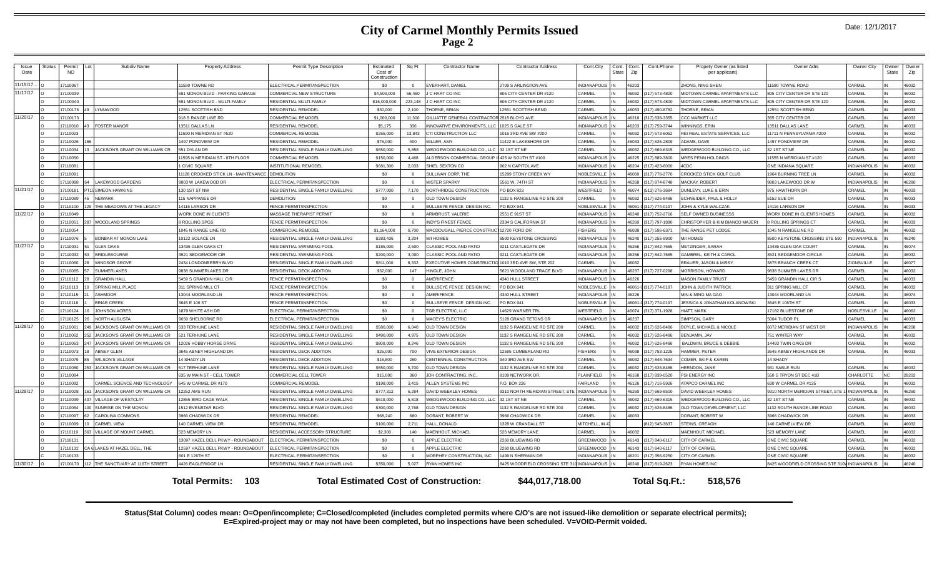### **City of Carmel Monthly Permits Issued Page 2**

| Issue<br>Date | Status | Permit<br>NO.      | Subdiv Name                                        | <b>Property Address</b>                            | Permit Type Description                                         | Estimated<br>Cost of<br>Construction | Sq Ft        | <b>Contractor Name</b>                     | <b>Contractor Address</b>                     | Cont.City                | Cont.<br><b>State</b> | Cont.<br>Zip   | Cont.Phone                      | Propety Owner (as listed<br>per applicant) | Owner Adrs                         | Owner City          | Owner<br>State | Owne<br>Zip |
|---------------|--------|--------------------|----------------------------------------------------|----------------------------------------------------|-----------------------------------------------------------------|--------------------------------------|--------------|--------------------------------------------|-----------------------------------------------|--------------------------|-----------------------|----------------|---------------------------------|--------------------------------------------|------------------------------------|---------------------|----------------|-------------|
| 11/15/17      |        | 7110067            |                                                    | 1590 TOWNE RD                                      | ELECTRICAL PERMIT/INSPECTION                                    | \$0                                  |              | EVERHART, DANIEI                           | 2709 S ARLINGTON AVE                          | <b>INDIANAPOLI</b>       |                       | 46203          |                                 | <b>HONG, NING SHEN</b>                     | 1590 TOWNE ROAD                    | CARMEL              |                | 46032       |
| 11/17/17      |        | 7100039            |                                                    | 591 MONON BLVD - PARKING GARAGE                    | COMMERCIAL NEW STRUCTURE                                        | \$4,500,000                          | 56,460       | I C HART CO INC                            | 805 CITY CENTER DR #120                       | CARMEL                   |                       | 46032          | (317) 573-4800                  | MIDTOWN CARMEL APARTMENTS LLC              | 805 CITY CENTER DR STE 120         | CARMEL              |                | 46032       |
|               |        | 7100040            |                                                    | 591 MONON BLVD - MULTI-FAMILY                      | RESIDENTIAL MULTI-FAMILY                                        | \$16,000,000                         | 223,148      | <b>CHART COINC</b>                         | 805 CITY CENTER DR #120                       | CARMEL                   |                       | <b>CENAM</b>   | $(317) 573 - 4800$              | MIDTOWN CARMEL APARTMENTS LLC              | 805 CITY CENTER DR STE 120         | CARMEL              |                | 46032       |
|               |        | 7100176            | LYNNWOOD                                           | 12551 SCOTTISH BND                                 | RESIDENTIAL REMODEL                                             | \$30,000                             | 2,100        | <b>HORNE, BRIAN</b>                        | 12551 SCOTTISH BEND                           | CARMEL                   |                       | 46033          | (317) 490-8782                  | THORNE, BRIAN                              | 2551 SCOTTISH BEND                 | CARMEL              |                | 46033       |
| 11/20/17      |        | 7100173            |                                                    | 918 S RANGE LINE RD                                | COMMERCIAL REMODEL                                              | \$1,000,000                          | 11,300       | GILLIATTE GENERAL CONTRACTO                | 2515 BLOYD AVE                                | <b>INDIANAPOLI</b>       |                       | 46218          | (317) 638-3355                  | <b>CCC MARKET LLC</b>                      | 355 CITY CENTER DR                 | CARMEL              |                | 46032       |
|               |        | 7110010            | <b>FOSTER MANOR</b>                                | 13511 DALLAS LN                                    | RESIDENTIAL REMODEL                                             | \$5,175                              | 336          | NNOVATIVE ENVIRONMENTS, LLC                | 1025 S GALE ST                                | <b>NDIANAPOLI</b>        |                       | 46203          | 317) 759-3744                   | <b>VINNINGS, ERIN</b>                      | 3511 DALLAS LANE                   | CARMEL              |                | 46033       |
|               |        | 7110023            |                                                    | 11590 N MERIDIAN ST #520                           | COMMERCIAL REMODE                                               | \$255,000                            | 13,843       | <b>TI CONSTRUCTION LLC</b>                 | 1016 3RD AVE SW #200                          | CARMEL                   |                       | 46032          | (317) 573-6052                  | REI REAL ESTATE SERVICES, LLC              | 11711 N PENNSYLVANIA #200          | CARMEL              |                | 46032       |
|               |        | 7110026            |                                                    | 1497 PONDVIEW DR                                   | RESIDENTIAL REMODEL                                             | \$75,000                             | 400          | MILLER, AMY                                | 11422 E LAKESHORE DR                          | CARMEL                   |                       | <b>22084</b>   | (317) 625-2809                  | ADAMS DAVE                                 | 1497 PONDVIEW DR                   | CARMEL              |                | 46032       |
|               |        | 7110034            | JACKSON'S GRANT ON WILLIAMS CR                     | 551 DYLAN DR                                       | RESIDENTIAL SINGLE FAMILY DWELLING                              | \$650,000                            | 5,858        | VEDGEWOOD BUILDING CO., LL                 | 32 1ST ST NE                                  | CARMEL                   |                       | 36032          | (317) 669-6315                  | WEDGEWOOD BUILDING CO., LLC                | 32 1ST ST NE                       | CARMEL              |                | 46032       |
|               |        | 17110050           |                                                    | 11595 N MERIDIAN ST - 8TH FLOOR                    | COMMERCIAL REMODEL                                              | \$150,000                            | 4.468        | ALDERSON COMMERCIAL GROUP                  | II 425 W SOUTH ST #100                        | <b>INDIANAPOLI</b>       |                       | 46225          | (317) 889-3800                  | MRES PENN HOLDINGS                         | 1555 N MERIDIAN ST #120            | CARMEL              |                | 46032       |
|               |        | 7110081            |                                                    | <b>I CIVIC SQUARE</b>                              | <b>INSTITUTIONAL REMODEL</b>                                    | \$681,300                            | 2,033        | SHIEL SEXTON CO                            | 902 N CAPITOL AVE                             | <b>INDIANAPOLIS</b>      |                       | 46204          | (317) 423-6000                  | <b>ICDC</b>                                | ONE INDIANA SQUARE                 | <b>INDIANAPOLIS</b> |                | 46032       |
|               |        | 7110091            |                                                    | 11128 CROOKED STICK LN - MAINTENANCE   DEMOLITION  |                                                                 | \$0                                  | $\Omega$     | SULLIVAN CORP, THE                         | 15299 STONY CREEK WY                          | NOBLESVILLE              |                       | 08064          | (317) 776-2770                  | CROOKED STICK GOLF CLUB                    | 964 BURNING TREE IN                | CARMEL              |                | 46032       |
|               |        | 7110098            | <b>LAKEWOOD GARDENS</b>                            | 9803 W LAKEWOOD DR                                 | ELECTRICAL PERMIT/INSPECTION                                    | \$0                                  | $\Omega$     | <b>MISTER SPARKY</b>                       | 5561 W. 74TH ST                               | <b>NDIANAPOLIS</b>       |                       | 46268          | (317) 874-8748                  | MACKAY, ROBERT                             | 803 LAKEWOOD DR W                  | <b>INDIANAPOLIS</b> |                | 46280       |
| 11/21/17      |        | 100181             | <b>SIMEON HAWKINS</b>                              | 130 1ST ST NW                                      | RESIDENTIAL SINGLE FAMILY DWELLING                              | \$777,000                            | 7.170        | NORTHRIDGE CONSTRUCTION                    | PO BOX 823                                    | <b>NESTFIELD</b>         |                       |                | 46074 (513) 276-3684            | DUNLEVY, LUKE & ERIN                       | <b>975 HAWTHORN DR</b>             | CRAMEL              |                | 46033       |
|               |        | 7110089            | <b>NEWARK</b>                                      | 115 NAPPANEE DR                                    | DEMOLITION                                                      | \$0                                  | $\Omega$     | OLD TOWN DESIGN                            | 1132 S RANGELINE RD STE 200                   | CARMEL                   |                       | 46032          | (317) 626-8486                  | SCHNEIDER, PAUL & HOLLY                    | 152 SUE DR                         | CARMEL              |                | 46033       |
|               |        | 7110100            | THE MEADOWS AT THE LEGACY                          | 14116 LARSON DR                                    | <b>ENCE PERMIT/INSPECTION</b>                                   | \$0                                  | $\Omega$     | BULLSEYE FENCE DESIGN INC.                 | PO BOX 941                                    | NOBLESVILLE              |                       |                | 46061-0 (317) 774-0197          | JOHN & KYLE WALCZAK                        | 4116 LARSON DF                     | CARMEL              |                | 46033       |
| 11/22/17      |        | 7110049            |                                                    | WORK DONE IN CLIENTS                               | MASSAGE THERAPIST PERMIT                                        | \$0                                  |              | ARMBRUST, VALERIE                          | 2551 E 91ST ST                                | NDIANAPOLI               |                       | 46240          | (317) 752-2716                  | SELF OWNED BUSINESSS                       | VORK DONE IN CLIENTS HOMES         | CARMEL              |                | 46032       |
|               |        | 17110051           | WOODLAND SPRINGS                                   | 8 ROLLING SPGS                                     | FENCE PERMIT/INSPECTION                                         | \$0                                  | $\Omega$     | <b>INDY'S FINEST FENCE</b>                 | 2334 S CALIFORNIA ST                          | <b>INDIANAPOLI</b>       |                       | 46260          | (317) 797-1890                  | CHRISTOPHER & KIM BIANCO MAJERI            | <b>B ROLLING SPRINGS CT</b>        | CARMEL              |                | 46033       |
|               |        | 7110054            |                                                    | 1045 N RANGE LINE RD                               | COMMERCIAL REMODEI                                              | \$1,164,000                          | 8.700        | MACDOUGALL PIERCE CONSTRU                  | 12720 FORD DR                                 | <b>FISHERS</b>           |                       | 88084          | (317) 596-6371                  | THE RANGE PET LODGE                        | 045 N RANGELINE RD                 | CARMEL              |                | 46032       |
|               |        | 7110076            | <b>BONBAR AT MONON LAKE</b>                        | 10122 SOLACE LN                                    | RESIDENTIAL SINGLE FAMILY DWELLING                              | \$283,436                            | 3.204        | M/I HOMES                                  | 8500 KEYSTONE CROSSING                        | <b>INDIANAPOLI</b>       |                       | 46240          | (317) 255-9900                  | M/I HOMES                                  | 8500 KEYSTONE CROSSING STE 590     | <b>INDIANAPOLIS</b> |                | 46240       |
| 11/27/17      |        | 7110031            | <b>GLEN OAKS</b>                                   | 13436 GLEN OAKS CT                                 | RESIDENTIAL SWIMMING POO                                        | \$185,000                            | 2.500        | CLASSIC POOL AND PATIO                     | 9211 CASTLEGATE DR                            | <b>INDIANAPOLI</b>       |                       | 46256          | (317) 842-7665                  | METZINGER, SARAH                           | 3436 GLEN OAK COURT                | CARMEL              |                | 46074       |
|               |        | 7110032            | <b>BRIDLEBOURNE</b>                                | 3521 SEDGEMOOR CIR                                 | RESIDENTIAL SWIMMING POOL                                       | \$200,000                            | 3.000        | CLASSIC POOL AND PATIO                     | 9211 CASTLEGATE DR                            | <b>INDIANAPOLI</b>       |                       | 46256          | 317) 842-7665                   | <b>GAMBREL, KEITH &amp; CAROL</b>          | <b>3521 SEDGEMOOR CIRCLE</b>       | CARMEL              |                | 46032       |
|               |        | 7110060            | <b>WINDSOR GROVE</b>                               | 2434 LONDONBERRY BLVD                              | RESIDENTIAL SINGLE FAMILY DWELLING                              | \$811,000                            | 8,332        | <b>XECUTIVE HOMES CONSTRUCTI</b>           | 0 1010 3RD AVE SW, STE 202                    | CARMEL                   |                       | 46032          |                                 | <b>BRAUER, JASON &amp; MISSY</b>           | 3875 BRANCH CREEK CT               | ZIONSVILLI          |                | 46077       |
|               |        | 7110065            | <b>SUMMERLAKES</b>                                 | <b>9838 SUMMERLAKES DR</b>                         | RESIDENTIAL DECK ADDITION                                       | \$32,000                             | 147          | HINGLE, JOHN                               | 5621 WOODLAND TRACE BLVD                      | NDIANAPOLIS              |                       |                | 46237 (317) 727-0298            | MORRISON, HOWARD                           | <b>9838 SUMMER LAKES DR</b>        | CARMEL              |                | 46032       |
|               |        | 7110112            | <b>GRANDIN HALL</b>                                | 5459 S GRANDIN HALL CIR                            | <b>ENCE PERMIT/INSPECTION</b>                                   | \$0                                  | $\Omega$     | AMERIFENCE                                 | 4340 HULL STREET                              | <b>INDIANAPOLIS</b>      |                       | 46226          |                                 | <b>MASON FAMILY TRUST</b>                  | <b>5459 GRANDIN HALL CIR S</b>     | CARMEL              |                | 46033       |
|               |        | 7110113            | <b>SPRING MILL PLACE</b>                           | 311 SPRING MILL CT                                 | FENCE PERMIT/INSPECTION                                         | \$0                                  | $\Omega$     | BULLSEYE FENCE DESIGN INC.                 | PO BOX 941                                    | NOBLESVILLE              |                       |                | 46061-0 (317) 774-0197          | JOHN & JUDITH PATRICK                      | 11 SPRING MILL CT                  | CARMEL              |                | 46032       |
|               |        | 7110115            | <b>ASHMOOR</b>                                     | 13044 MOORLAND LN                                  | <b>ENCE PERMIT/INSPECTION</b>                                   | \$0                                  | $\Omega$     | AMERIFENCE                                 | 4340 HULL STREET                              | <b>INDIANAPOLI</b>       |                       | 46226          |                                 | MIN & MING MA GAO                          | 3044 MOORLAND LN                   | CARMEI              |                | 46074       |
|               |        | 7110116            | <b>BRIAR CREEK</b>                                 | 3645 E 106 ST                                      | FENCE PERMIT/INSPECTION                                         | \$0                                  | $\Omega$     | BULLSEYE FENCE DESIGN INC.                 | PO BOX 941                                    | NOBLESVILLE              |                       |                | 46061-0 (317) 774-0197          | JESSICA & JONATHAN KOLANOWSKI              | 3645 E 106TH ST                    | CARMEL              |                | 46033       |
|               |        | 7110124            | <b>JOHNSON ACRES</b>                               | 1879 WHITE ASH DR                                  | ELECTRICAL PERMIT/INSPECTION                                    | - \$0                                | $\sim$       | TGR ELECTRIC, LLC                          | 14629 WARNER TRL                              | WESTFIELD                |                       | 46074          | (317) 371-1928                  | <b>HIATT, MARK</b>                         | 7182 BLUESTONE DR                  | NOBLESVILL          |                | 46062       |
|               |        | 7110125            | NORTH AUGUSTA                                      | 9650 SHELBORNE RD                                  | ELECTRICAL PERMIT/INSPECTION                                    | \$0                                  | $\sqrt{2}$   | MACEY'S ELECTRIC                           | 5128 GRAND TETONS DR                          | <b>INDIANAPOLI</b>       |                       | 46237          |                                 | <b>SIMPSON, GARY</b>                       | 5004 TUDOR PI                      | CARMEL              |                | 46033       |
| 11/28/17      |        | 7110061            | JACKSON'S GRANT ON WILLIAMS CR                     | 533 TERHUNE LANE                                   | RESIDENTIAL SINGLE FAMILY DWELLING                              | \$580,000                            | 6.040        | OLD TOWN DESIGN                            | 1132 S RANGELINE RD STE 200                   | CARMEL                   |                       | <b>CENAA</b>   | (317) 626-8486                  | BOYLE, MICHAEL & NICOLE                    | 6072 MERIDIAN ST WEST DR           | <b>INDIANAPOLIS</b> |                | 46208       |
|               |        | 7110062            | JACKSON'S GRANT ON WILLIAMS CR                     | 521 TERHUNE LANE                                   | RESIDENTIAL SINGLE FAMILY DWELLING                              | \$490,000                            | 4.975        | OLD TOWN DESIGN                            | 1132 S RANGELINE RD STE 200                   | CARMEL                   |                       | 46032          | (317) 626-8486                  | BENJAMIN, JAY                              | 751 WINTER WAY                     | CARMEL              |                | 46032       |
|               |        | 7110063            | JACKSON'S GRANT ON WILLIAMS CR                     | 12026 HOBBY HORSE DRIVE                            | RESIDENTIAL SINGLE FAMILY DWELLING                              | \$800,000                            | 8,246        | OLD TOWN DESIGN                            | 1132 S RANGELINE RD STE 200                   | CARMEL                   |                       | 46032          | (317) 626-8486                  | BALDWIN, BRUCE & DEBBIE                    | 4493 TWIN OAKS DR                  | CARMEL              |                | 46032       |
|               |        | 7110073<br>7110079 | <b>ABNEY GLEN</b>                                  | <b>3645 ABNEY HIGHLAND DR</b><br><b>4 SHADY LN</b> | RESIDENTIAL DECK ADDITION                                       | \$25,000                             | 700          | <b>IVE EXTERIOR DESIGN</b>                 | 12595 CUMBERLAND RD                           | <b>FISHERS</b><br>CARMEL |                       | 46038<br>46032 | (317) 753-1225                  | HAMMER, PETER<br>COMER, SKIP & KAREN       | 3645 ABNEY HIGHLANDS DR<br>4 SHADY | CARMEL              |                | 46033       |
|               |        | 7110080            | WILSON'S VILLAGE<br>JACKSON'S GRANT ON WILLIAMS CR | 517 TERHUNE LANE                                   | RESIDENTIAL DECK ADDITION<br>RESIDENTIAL SINGLE FAMILY DWELLING | \$16,800<br>\$550,000                | 280<br>5,700 | CENTENNIAL CONSTRUCTION<br>OLD TOWN DESIGN | 940 3RD AVE SW<br>1132 S RANGELINE RD STE 200 | CARMEL                   |                       | 46032          | 317) 848-7634<br>(317) 626-8486 | HERNDON, JANE                              | 931 SABLE RUN                      | CARMEL              |                | 46032       |
|               |        | 7110084            |                                                    | 635 W MAIN ST - CELL TOWER                         | COMMERCIAL CELL TOWER                                           | \$15,000                             | 360          | JDH CONTRACTING, INC                       | 8109 NETWORK DR                               | PLAINFIELD               |                       | 46168          | 317) 839-0520                   | PSI ENERGY INC                             | 550 S TRYON ST DEC 41B             | CHARLOTTE           |                | 28202       |
|               |        | 7110092            | CARMEL SCIENCE AND TECHNOLOGY                      | 645 W CARMEL DR #170                               | COMMERCIAL REMODE                                               | \$198,000                            | 3,415        | <b>ILLEN SYSTEMS INC</b>                   | P.O. BOX 226                                  | <b>FAIRLAND</b>          |                       | 46126          | (317) 716-5926                  | ATAPCO CARMEL INC                          | 630 W CARMEL DR #135               | CARMEL              |                | 46032       |
| 11/29/17      |        | 7110028            | JACKSON'S GRANT ON WILLIAMS CR                     | <b>12252 AMS RUN</b>                               | RESIDENTIAL SINGLE FAMILY DWELLING                              | \$777,312                            | 6.284        | DAVID WEEKLEY HOMES                        | 9310 NORTH MERIDIAN STREET, STE               | INDIANAPOLI              |                       | 46260          | (317) 669-8500                  | DAVID WEEKLEY HOMES                        | 9310 NORTH MERIDIAN STREET. STE    | <b>INDIANAPOLIS</b> |                | 46260       |
|               |        | 7110039            | VILLAGE OF WESTCLAY                                | 12855 BIRD CAGE WALK                               | RESIDENTIAL SINGLE FAMILY DWELLING                              | \$610,000                            | 5.818        | <b>VEDGEWOOD BUILDING CO., LLC</b>         | 32 1ST ST ND                                  | CARMEL                   |                       | 36032          | (317) 669-6315                  | WEDGEWOOD BUILDING CO., LLC                | 32 1ST ST NE                       | CARMEL              |                | 46032       |
|               |        | 7110064            | SUNRISE ON THE MONON                               | 1512 EVENSTAR BLVD                                 | RESIDENTIAL SINGLE FAMILY DWELLING                              | \$300,000                            | 2.768        | OLD TOWN DESIGN                            | 1132 S RANGELINE RD STE 200                   | CARMEL                   |                       | 36032          | (317) 626-8486                  | OLD TOWN DEVELOPMENT, LLC                  | 132 SOUTH RANGE LINE ROAD          | CARMEL              |                | 46032       |
|               |        | 17110097<br>62     | <b>CAROLINA COMMONS</b>                            | 3966 CHADWICK DR                                   | RESIDENTIAL REMODEL                                             | \$68,240                             | 680          | DORANT, ROBERT W                           | 3966 CHADWICK DF                              | CARMEL                   |                       | 46033          |                                 | DORANT, ROBERT W                           | 3966 CHADWICK DR                   | CARMEL              |                | 46033       |
|               |        | 7110099            | <b>CARMEL VIEW</b>                                 | 140 CARMEL VIEW DR                                 | RESIDENTIAL REMODEL                                             | \$100,000                            | 2,711        | HALL, DONALD                               | 1328 W CRANDALL ST                            | MITCHELL, IN             |                       |                | 812) 545-3637                   | STEINS, CREAGH                             | 140 CARMELVIEW DR                  | CARMEL              |                | 46032       |
|               |        | 7110119            | VILLAGE OF MOUNT CARMEL                            | 523 MEMORY LN                                      | RESIDENTIAL ACCESSORY STRUCTURE                                 | \$2,300                              | 140          | MAENHOUT, MICHAEL                          | 523 MEMORY LANE                               | CARMEL                   |                       | 16032          |                                 | <b>MAENHOUT, MICHAEL</b>                   | 523 MEMORY LANE                    | CARMEL              |                | 46032       |
|               |        | 7110131            |                                                    | 13097 HAZEL DELL PKWY - ROUNDABOU'                 | ELECTRICAL PERMIT/INSPECTION                                    | \$0                                  | $\Omega$     | APPLE ELECTRIC                             | 2260 BLUEWING RD                              | GREENWOOD                |                       |                | 46143 (317) 840-6117            | CITY OF CARMEL                             | ONE CIVIC SQUARE                   | CARMEL              |                | 46032       |
|               |        | 7110132            | LAKES AT HAZEL DELL, THE                           | 12597 HAZEL DELL PKWY - ROUNDABOUT                 | <b>LECTRICAL PERMIT/INSPECTION</b>                              | \$0                                  |              | APPLE ELECTRIC                             | 2260 BLUEWING RD                              | GREENWOOD                |                       | 46143          | (317) 840-6117                  | CITY OF CARMEL                             | ONE CIVIC SQUARE                   | CARMEL              |                | 46032       |
|               |        | 7110133            |                                                    | 601 E 126TH ST                                     | ELECTRICAL PERMIT/INSPECTION                                    | \$0                                  | $\Omega$     | MORPHEY CONSTRUCTION, INC                  | 1499 N SHERMAN DR                             | NDIANAPOLI               |                       | 46201          | (317) 356-9250                  | CITY OF CARMEI                             | ONE CIVIC SQUARE                   | CARMEL              |                | 46032       |
| 11/30/17      |        | 7100170            | 112 THE SANCTUARY AT 116TH STREET                  | 4426 EAGLERIDGE LN                                 | RESIDENTIAL SINGLE FAMILY DWELLING                              | \$350,000                            | 5,027        | RYAN HOMES INC                             | 8425 WOODFIELD CROSSING STE 31                | <b>INDIANAPOLI</b>       |                       | 46240          | (317) 819-2623                  | RYAN HOMES INC                             | 8425 WOODFIELD CROSSING STE 310    | <b>INDIANAPOLIS</b> |                | 46240       |
|               |        |                    |                                                    |                                                    |                                                                 |                                      |              |                                            |                                               |                          |                       |                |                                 |                                            |                                    |                     |                |             |

**Total Permits: Total Estimated Cost of Construction: \$44,017,718.00 103 Total Sq.Ft.: 518,576**

**Status(Stat Column) codes mean: O=Open/incomplete; C=Closed/completed (includes completed permits where C/O's are not issued-like demolition or separate electrical permits); E=Expired-project may or may not have been completed, but no inspections have been scheduled. V=VOID-Permit voided.**